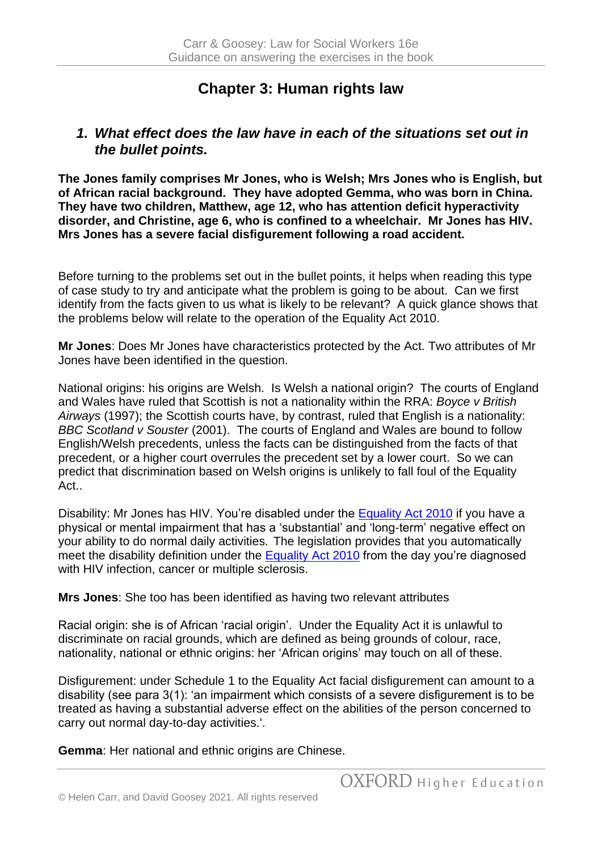# **Chapter 3: Human rights law**

#### *1. What effect does the law have in each of the situations set out in the bullet points.*

**The Jones family comprises Mr Jones, who is Welsh; Mrs Jones who is English, but of African racial background. They have adopted Gemma, who was born in China. They have two children, Matthew, age 12, who has attention deficit hyperactivity disorder, and Christine, age 6, who is confined to a wheelchair. Mr Jones has HIV. Mrs Jones has a severe facial disfigurement following a road accident.**

Before turning to the problems set out in the bullet points, it helps when reading this type of case study to try and anticipate what the problem is going to be about. Can we first identify from the facts given to us what is likely to be relevant? A quick glance shows that the problems below will relate to the operation of the Equality Act 2010.

**Mr Jones**: Does Mr Jones have characteristics protected by the Act. Two attributes of Mr Jones have been identified in the question.

National origins: his origins are Welsh. Is Welsh a national origin? The courts of England and Wales have ruled that Scottish is not a nationality within the RRA: *Boyce v British Airways* (1997); the Scottish courts have, by contrast, ruled that English is a nationality: *BBC Scotland v Souster* (2001). The courts of England and Wales are bound to follow English/Welsh precedents, unless the facts can be distinguished from the facts of that precedent, or a higher court overrules the precedent set by a lower court. So we can predict that discrimination based on Welsh origins is unlikely to fall foul of the Equality Act..

Disability: Mr Jones has HIV. You're disabled under the [Equality Act 2010](http://www.legislation.gov.uk/ukpga/2010/15/section/6) if you have a physical or mental impairment that has a 'substantial' and 'long-term' negative effect on your ability to do normal daily activities. The legislation provides that you automatically meet the disability definition under the [Equality Act 2010](http://www.legislation.gov.uk/ukpga/2010/15/section/6) from the day you're diagnosed with HIV infection, cancer or multiple sclerosis.

**Mrs Jones**: She too has been identified as having two relevant attributes

Racial origin: she is of African 'racial origin'. Under the Equality Act it is unlawful to discriminate on racial grounds, which are defined as being grounds of colour, race, nationality, national or ethnic origins: her 'African origins' may touch on all of these.

Disfigurement: under Schedule 1 to the Equality Act facial disfigurement can amount to a disability (see para 3(1): 'an impairment which consists of a severe disfigurement is to be treated as having a substantial adverse effect on the abilities of the person concerned to carry out normal day-to-day activities.'.

**Gemma**: Her national and ethnic origins are Chinese.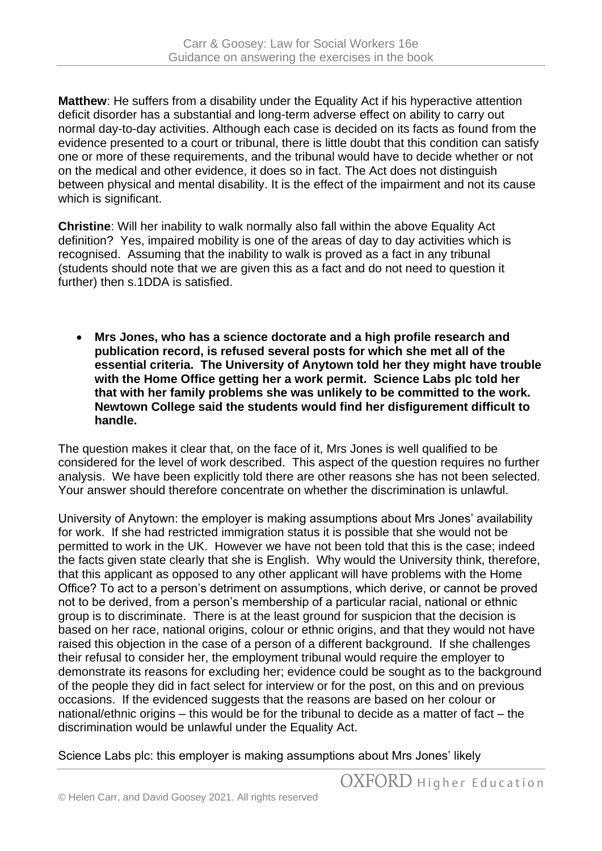**Matthew**: He suffers from a disability under the Equality Act if his hyperactive attention deficit disorder has a substantial and long-term adverse effect on ability to carry out normal day-to-day activities. Although each case is decided on its facts as found from the evidence presented to a court or tribunal, there is little doubt that this condition can satisfy one or more of these requirements, and the tribunal would have to decide whether or not on the medical and other evidence, it does so in fact. The Act does not distinguish between physical and mental disability. It is the effect of the impairment and not its cause which is significant.

**Christine**: Will her inability to walk normally also fall within the above Equality Act definition? Yes, impaired mobility is one of the areas of day to day activities which is recognised. Assuming that the inability to walk is proved as a fact in any tribunal (students should note that we are given this as a fact and do not need to question it further) then s.1DDA is satisfied.

• **Mrs Jones, who has a science doctorate and a high profile research and publication record, is refused several posts for which she met all of the essential criteria. The University of Anytown told her they might have trouble with the Home Office getting her a work permit. Science Labs plc told her that with her family problems she was unlikely to be committed to the work. Newtown College said the students would find her disfigurement difficult to handle.**

The question makes it clear that, on the face of it, Mrs Jones is well qualified to be considered for the level of work described. This aspect of the question requires no further analysis. We have been explicitly told there are other reasons she has not been selected. Your answer should therefore concentrate on whether the discrimination is unlawful.

University of Anytown: the employer is making assumptions about Mrs Jones' availability for work. If she had restricted immigration status it is possible that she would not be permitted to work in the UK. However we have not been told that this is the case; indeed the facts given state clearly that she is English. Why would the University think, therefore, that this applicant as opposed to any other applicant will have problems with the Home Office? To act to a person's detriment on assumptions, which derive, or cannot be proved not to be derived, from a person's membership of a particular racial, national or ethnic group is to discriminate. There is at the least ground for suspicion that the decision is based on her race, national origins, colour or ethnic origins, and that they would not have raised this objection in the case of a person of a different background. If she challenges their refusal to consider her, the employment tribunal would require the employer to demonstrate its reasons for excluding her; evidence could be sought as to the background of the people they did in fact select for interview or for the post, on this and on previous occasions. If the evidenced suggests that the reasons are based on her colour or national/ethnic origins – this would be for the tribunal to decide as a matter of fact – the discrimination would be unlawful under the Equality Act.

Science Labs plc: this employer is making assumptions about Mrs Jones' likely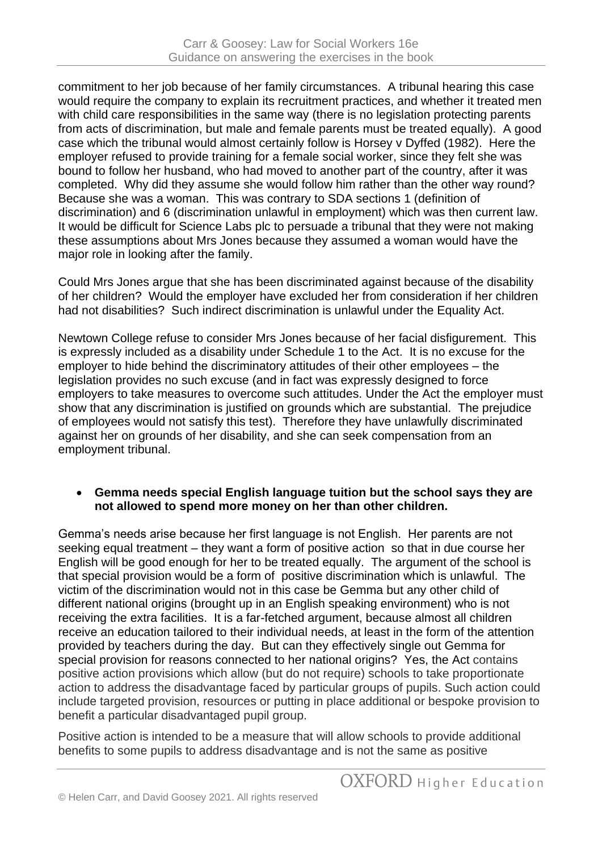commitment to her job because of her family circumstances. A tribunal hearing this case would require the company to explain its recruitment practices, and whether it treated men with child care responsibilities in the same way (there is no legislation protecting parents from acts of discrimination, but male and female parents must be treated equally). A good case which the tribunal would almost certainly follow is Horsey v Dyffed (1982). Here the employer refused to provide training for a female social worker, since they felt she was bound to follow her husband, who had moved to another part of the country, after it was completed. Why did they assume she would follow him rather than the other way round? Because she was a woman. This was contrary to SDA sections 1 (definition of discrimination) and 6 (discrimination unlawful in employment) which was then current law. It would be difficult for Science Labs plc to persuade a tribunal that they were not making these assumptions about Mrs Jones because they assumed a woman would have the major role in looking after the family.

Could Mrs Jones argue that she has been discriminated against because of the disability of her children? Would the employer have excluded her from consideration if her children had not disabilities? Such indirect discrimination is unlawful under the Equality Act.

Newtown College refuse to consider Mrs Jones because of her facial disfigurement. This is expressly included as a disability under Schedule 1 to the Act. It is no excuse for the employer to hide behind the discriminatory attitudes of their other employees – the legislation provides no such excuse (and in fact was expressly designed to force employers to take measures to overcome such attitudes. Under the Act the employer must show that any discrimination is justified on grounds which are substantial. The prejudice of employees would not satisfy this test). Therefore they have unlawfully discriminated against her on grounds of her disability, and she can seek compensation from an employment tribunal.

#### • **Gemma needs special English language tuition but the school says they are not allowed to spend more money on her than other children.**

Gemma's needs arise because her first language is not English. Her parents are not seeking equal treatment – they want a form of positive action so that in due course her English will be good enough for her to be treated equally. The argument of the school is that special provision would be a form of positive discrimination which is unlawful. The victim of the discrimination would not in this case be Gemma but any other child of different national origins (brought up in an English speaking environment) who is not receiving the extra facilities. It is a far-fetched argument, because almost all children receive an education tailored to their individual needs, at least in the form of the attention provided by teachers during the day. But can they effectively single out Gemma for special provision for reasons connected to her national origins? Yes, the Act contains positive action provisions which allow (but do not require) schools to take proportionate action to address the disadvantage faced by particular groups of pupils. Such action could include targeted provision, resources or putting in place additional or bespoke provision to benefit a particular disadvantaged pupil group.

Positive action is intended to be a measure that will allow schools to provide additional benefits to some pupils to address disadvantage and is not the same as positive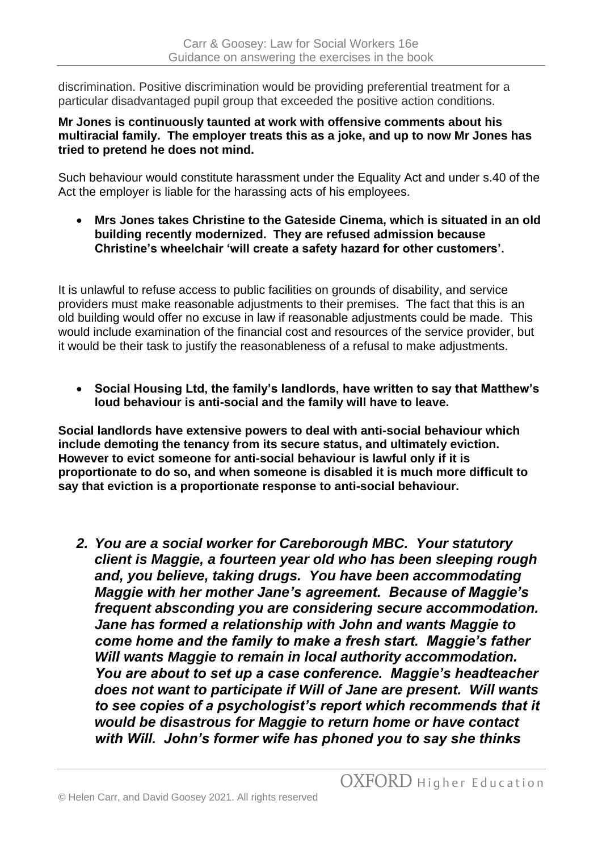discrimination. Positive discrimination would be providing preferential treatment for a particular disadvantaged pupil group that exceeded the positive action conditions.

#### **Mr Jones is continuously taunted at work with offensive comments about his multiracial family. The employer treats this as a joke, and up to now Mr Jones has tried to pretend he does not mind.**

Such behaviour would constitute harassment under the Equality Act and under s.40 of the Act the employer is liable for the harassing acts of his employees.

• **Mrs Jones takes Christine to the Gateside Cinema, which is situated in an old building recently modernized. They are refused admission because Christine's wheelchair 'will create a safety hazard for other customers'.**

It is unlawful to refuse access to public facilities on grounds of disability, and service providers must make reasonable adjustments to their premises. The fact that this is an old building would offer no excuse in law if reasonable adjustments could be made. This would include examination of the financial cost and resources of the service provider, but it would be their task to justify the reasonableness of a refusal to make adjustments.

• **Social Housing Ltd, the family's landlords, have written to say that Matthew's loud behaviour is anti-social and the family will have to leave.** 

**Social landlords have extensive powers to deal with anti-social behaviour which include demoting the tenancy from its secure status, and ultimately eviction. However to evict someone for anti-social behaviour is lawful only if it is proportionate to do so, and when someone is disabled it is much more difficult to say that eviction is a proportionate response to anti-social behaviour.** 

*2. You are a social worker for Careborough MBC. Your statutory client is Maggie, a fourteen year old who has been sleeping rough and, you believe, taking drugs. You have been accommodating Maggie with her mother Jane's agreement. Because of Maggie's frequent absconding you are considering secure accommodation. Jane has formed a relationship with John and wants Maggie to come home and the family to make a fresh start. Maggie's father Will wants Maggie to remain in local authority accommodation. You are about to set up a case conference. Maggie's headteacher does not want to participate if Will of Jane are present. Will wants to see copies of a psychologist's report which recommends that it would be disastrous for Maggie to return home or have contact with Will. John's former wife has phoned you to say she thinks*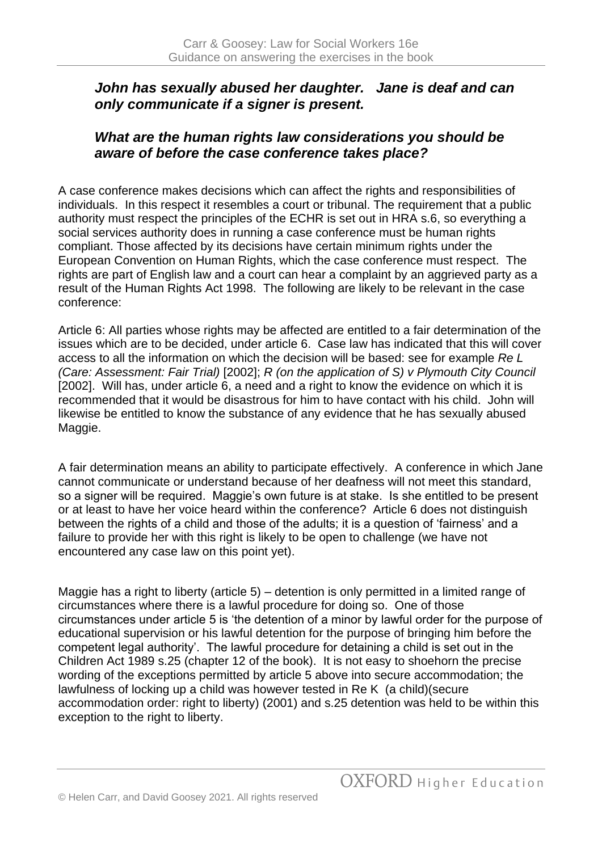### *John has sexually abused her daughter. Jane is deaf and can only communicate if a signer is present.*

# *What are the human rights law considerations you should be aware of before the case conference takes place?*

A case conference makes decisions which can affect the rights and responsibilities of individuals. In this respect it resembles a court or tribunal. The requirement that a public authority must respect the principles of the ECHR is set out in HRA s.6, so everything a social services authority does in running a case conference must be human rights compliant. Those affected by its decisions have certain minimum rights under the European Convention on Human Rights, which the case conference must respect. The rights are part of English law and a court can hear a complaint by an aggrieved party as a result of the Human Rights Act 1998. The following are likely to be relevant in the case conference:

Article 6: All parties whose rights may be affected are entitled to a fair determination of the issues which are to be decided, under article 6. Case law has indicated that this will cover access to all the information on which the decision will be based: see for example *Re L (Care: Assessment: Fair Trial)* [2002]; *R (on the application of S) v Plymouth City Council* [2002]. Will has, under article 6, a need and a right to know the evidence on which it is recommended that it would be disastrous for him to have contact with his child. John will likewise be entitled to know the substance of any evidence that he has sexually abused Maggie.

A fair determination means an ability to participate effectively. A conference in which Jane cannot communicate or understand because of her deafness will not meet this standard, so a signer will be required. Maggie's own future is at stake. Is she entitled to be present or at least to have her voice heard within the conference? Article 6 does not distinguish between the rights of a child and those of the adults; it is a question of 'fairness' and a failure to provide her with this right is likely to be open to challenge (we have not encountered any case law on this point yet).

Maggie has a right to liberty (article 5) – detention is only permitted in a limited range of circumstances where there is a lawful procedure for doing so. One of those circumstances under article 5 is 'the detention of a minor by lawful order for the purpose of educational supervision or his lawful detention for the purpose of bringing him before the competent legal authority'. The lawful procedure for detaining a child is set out in the Children Act 1989 s.25 (chapter 12 of the book). It is not easy to shoehorn the precise wording of the exceptions permitted by article 5 above into secure accommodation; the lawfulness of locking up a child was however tested in Re K (a child)(secure accommodation order: right to liberty) (2001) and s.25 detention was held to be within this exception to the right to liberty.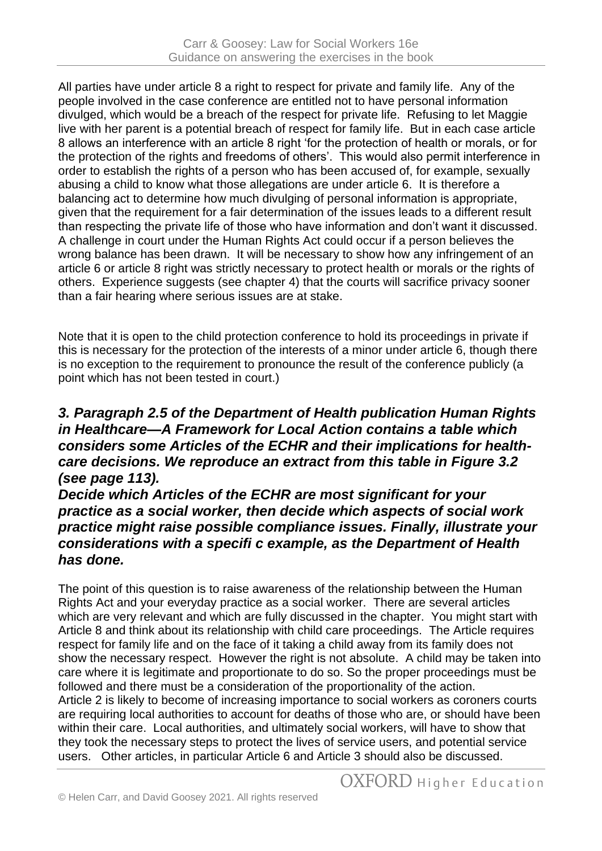All parties have under article 8 a right to respect for private and family life. Any of the people involved in the case conference are entitled not to have personal information divulged, which would be a breach of the respect for private life. Refusing to let Maggie live with her parent is a potential breach of respect for family life. But in each case article 8 allows an interference with an article 8 right 'for the protection of health or morals, or for the protection of the rights and freedoms of others'. This would also permit interference in order to establish the rights of a person who has been accused of, for example, sexually abusing a child to know what those allegations are under article 6. It is therefore a balancing act to determine how much divulging of personal information is appropriate, given that the requirement for a fair determination of the issues leads to a different result than respecting the private life of those who have information and don't want it discussed. A challenge in court under the Human Rights Act could occur if a person believes the wrong balance has been drawn. It will be necessary to show how any infringement of an article 6 or article 8 right was strictly necessary to protect health or morals or the rights of others. Experience suggests (see chapter 4) that the courts will sacrifice privacy sooner than a fair hearing where serious issues are at stake.

Note that it is open to the child protection conference to hold its proceedings in private if this is necessary for the protection of the interests of a minor under article 6, though there is no exception to the requirement to pronounce the result of the conference publicly (a point which has not been tested in court.)

## *3. Paragraph 2.5 of the Department of Health publication Human Rights in Healthcare—A Framework for Local Action contains a table which considers some Articles of the ECHR and their implications for healthcare decisions. We reproduce an extract from this table in Figure 3.2 (see page 113).*

### *Decide which Articles of the ECHR are most significant for your practice as a social worker, then decide which aspects of social work practice might raise possible compliance issues. Finally, illustrate your considerations with a specifi c example, as the Department of Health has done.*

The point of this question is to raise awareness of the relationship between the Human Rights Act and your everyday practice as a social worker. There are several articles which are very relevant and which are fully discussed in the chapter. You might start with Article 8 and think about its relationship with child care proceedings. The Article requires respect for family life and on the face of it taking a child away from its family does not show the necessary respect. However the right is not absolute. A child may be taken into care where it is legitimate and proportionate to do so. So the proper proceedings must be followed and there must be a consideration of the proportionality of the action. Article 2 is likely to become of increasing importance to social workers as coroners courts are requiring local authorities to account for deaths of those who are, or should have been within their care. Local authorities, and ultimately social workers, will have to show that they took the necessary steps to protect the lives of service users, and potential service users. Other articles, in particular Article 6 and Article 3 should also be discussed.